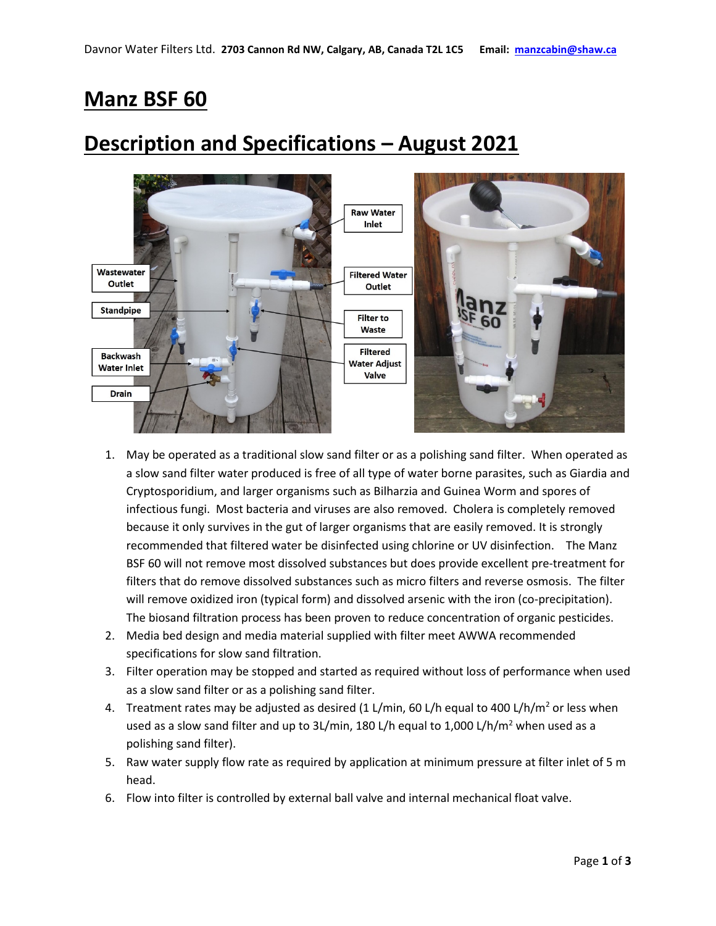## **Manz BSF 60**

## **Description and Specifications – August 2021**



- 1. May be operated as a traditional slow sand filter or as a polishing sand filter. When operated as a slow sand filter water produced is free of all type of water borne parasites, such as Giardia and Cryptosporidium, and larger organisms such as Bilharzia and Guinea Worm and spores of infectious fungi. Most bacteria and viruses are also removed. Cholera is completely removed because it only survives in the gut of larger organisms that are easily removed. It is strongly recommended that filtered water be disinfected using chlorine or UV disinfection. The Manz BSF 60 will not remove most dissolved substances but does provide excellent pre-treatment for filters that do remove dissolved substances such as micro filters and reverse osmosis. The filter will remove oxidized iron (typical form) and dissolved arsenic with the iron (co-precipitation). The biosand filtration process has been proven to reduce concentration of organic pesticides.
- 2. Media bed design and media material supplied with filter meet AWWA recommended specifications for slow sand filtration.
- 3. Filter operation may be stopped and started as required without loss of performance when used as a slow sand filter or as a polishing sand filter.
- 4. Treatment rates may be adjusted as desired (1 L/min, 60 L/h equal to 400 L/h/m<sup>2</sup> or less when used as a slow sand filter and up to 3L/min, 180 L/h equal to 1,000 L/h/m<sup>2</sup> when used as a polishing sand filter).
- 5. Raw water supply flow rate as required by application at minimum pressure at filter inlet of 5 m head.
- 6. Flow into filter is controlled by external ball valve and internal mechanical float valve.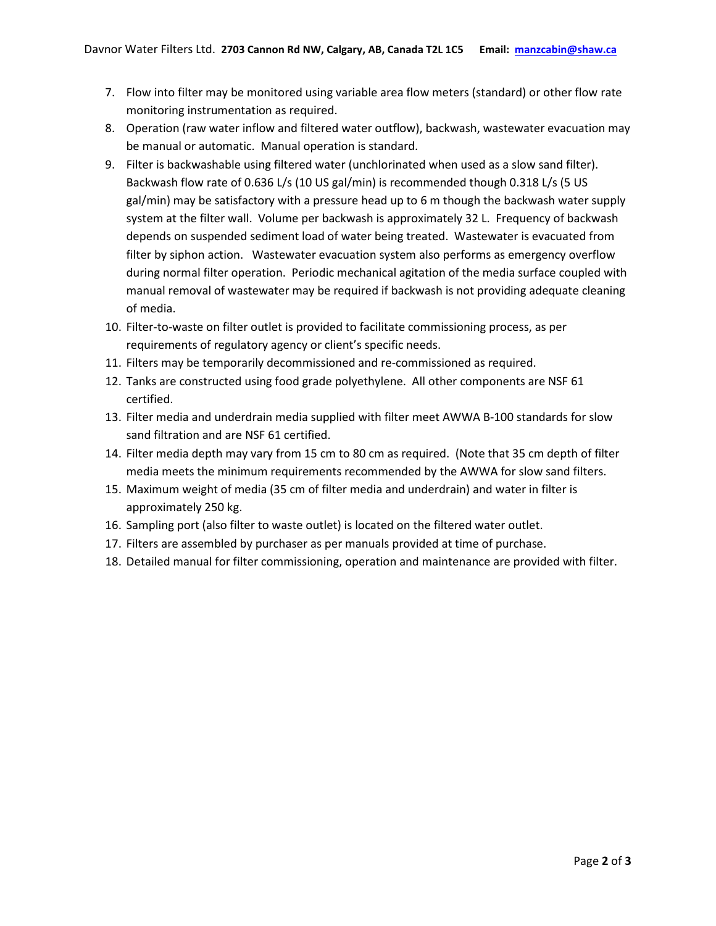- 7. Flow into filter may be monitored using variable area flow meters (standard) or other flow rate monitoring instrumentation as required.
- 8. Operation (raw water inflow and filtered water outflow), backwash, wastewater evacuation may be manual or automatic. Manual operation is standard.
- 9. Filter is backwashable using filtered water (unchlorinated when used as a slow sand filter). Backwash flow rate of 0.636 L/s (10 US gal/min) is recommended though 0.318 L/s (5 US gal/min) may be satisfactory with a pressure head up to 6 m though the backwash water supply system at the filter wall. Volume per backwash is approximately 32 L. Frequency of backwash depends on suspended sediment load of water being treated. Wastewater is evacuated from filter by siphon action. Wastewater evacuation system also performs as emergency overflow during normal filter operation. Periodic mechanical agitation of the media surface coupled with manual removal of wastewater may be required if backwash is not providing adequate cleaning of media.
- 10. Filter-to-waste on filter outlet is provided to facilitate commissioning process, as per requirements of regulatory agency or client's specific needs.
- 11. Filters may be temporarily decommissioned and re-commissioned as required.
- 12. Tanks are constructed using food grade polyethylene. All other components are NSF 61 certified.
- 13. Filter media and underdrain media supplied with filter meet AWWA B-100 standards for slow sand filtration and are NSF 61 certified.
- 14. Filter media depth may vary from 15 cm to 80 cm as required. (Note that 35 cm depth of filter media meets the minimum requirements recommended by the AWWA for slow sand filters.
- 15. Maximum weight of media (35 cm of filter media and underdrain) and water in filter is approximately 250 kg.
- 16. Sampling port (also filter to waste outlet) is located on the filtered water outlet.
- 17. Filters are assembled by purchaser as per manuals provided at time of purchase.
- 18. Detailed manual for filter commissioning, operation and maintenance are provided with filter.